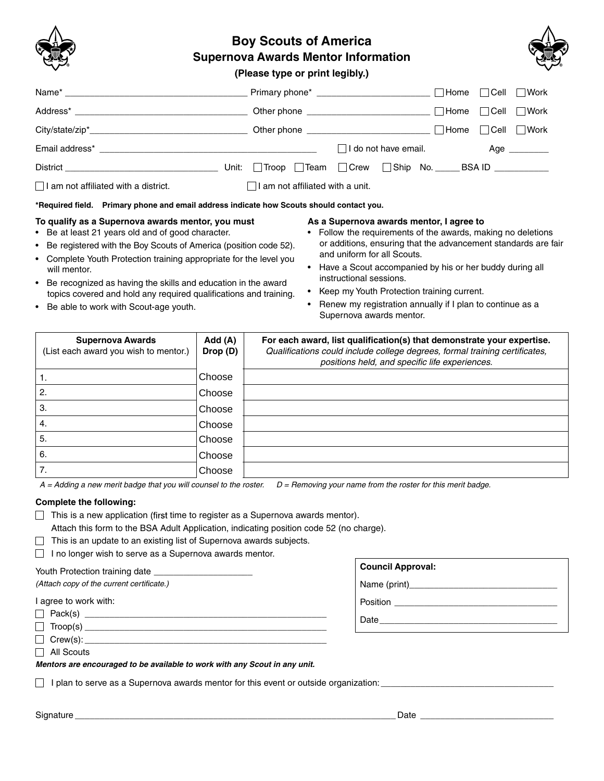

# **Boy Scouts of America Supernova Awards Mentor Information**



**(Please type or print legibly.)**

|                                             |                                         |                                                            | ∣ Home<br>∣Cell            | Work                |
|---------------------------------------------|-----------------------------------------|------------------------------------------------------------|----------------------------|---------------------|
|                                             |                                         |                                                            | $\Box$ Cell<br><b>Home</b> | │ Work              |
|                                             |                                         |                                                            |                            | l Work              |
|                                             |                                         | $\Box$ I do not have email.                                |                            | Age $\qquad \qquad$ |
|                                             |                                         | Unit: Troop Team C Crew Ship No. _____ BSA ID ____________ |                            |                     |
| $\Box$ I am not affiliated with a district. | $\Box$ I am not affiliated with a unit. |                                                            |                            |                     |

**\*Required field. Primary phone and email address indicate how Scouts should contact you.**

# **To qualify as a Supernova awards mentor, you must**

- Be at least 21 years old and of good character.
- Be registered with the Boy Scouts of America (position code 52).
- Complete Youth Protection training appropriate for the level you will mentor.
- Be recognized as having the skills and education in the award topics covered and hold any required qualifications and training.
- Be able to work with Scout-age youth.
- **As a Supernova awards mentor, I agree to**
- Follow the requirements of the awards, making no deletions or additions, ensuring that the advancement standards are fair and uniform for all Scouts.
- Have a Scout accompanied by his or her buddy during all instructional sessions.
- Keep my Youth Protection training current.
- Renew my registration annually if I plan to continue as a Supernova awards mentor.

| <b>Supernova Awards</b><br>(List each award you wish to mentor.) | Add (A)<br>Drop (D) | For each award, list qualification(s) that demonstrate your expertise.<br>Qualifications could include college degrees, formal training certificates,<br>positions held, and specific life experiences. |
|------------------------------------------------------------------|---------------------|---------------------------------------------------------------------------------------------------------------------------------------------------------------------------------------------------------|
| ι.                                                               | Choose              |                                                                                                                                                                                                         |
| 2.                                                               | Choose              |                                                                                                                                                                                                         |
| З.                                                               | Choose              |                                                                                                                                                                                                         |
| 4.                                                               | Choose              |                                                                                                                                                                                                         |
| 5.                                                               | Choose              |                                                                                                                                                                                                         |
| 6.                                                               | Choose              |                                                                                                                                                                                                         |
| 7.                                                               | Choose              |                                                                                                                                                                                                         |

*A = Adding a new merit badge that you will counsel to the roster. D = Removing your name from the roster for this merit badge.*

## **Complete the following:**

- $\Box$  This is a new application (first time to register as a Supernova awards mentor).
	- Attach this form to the BSA Adult Application, indicating position code 52 (no charge).
- $\Box$  This is an update to an existing list of Supernova awards subjects.
- $\Box$  I no longer wish to serve as a Supernova awards mentor.

#### Youth Protection training date

*(Attach copy of the current certificate.)*

I agree to work with:

Pack(s) \_\_\_\_\_\_\_\_\_\_\_\_\_\_\_\_\_\_\_\_\_\_\_\_\_\_\_\_\_\_\_\_\_\_\_\_\_\_\_\_\_\_\_\_\_\_\_\_\_

Troop(s) \_\_\_\_\_\_\_\_\_\_\_\_\_\_\_\_\_\_\_\_\_\_\_\_\_\_\_\_\_\_\_\_\_\_\_\_\_\_\_\_\_\_\_\_\_\_\_\_\_

| $\Box$ Crew(s): |  |
|-----------------|--|
|                 |  |

□ All Scouts

*Mentors are encouraged to be available to work with any Scout in any unit.*

 $\Box$  I plan to serve as a Supernova awards mentor for this event or outside organization:  $\Box$ 

| <u>.</u><br>77. <i>.</i><br>Sianati | Date |  |
|-------------------------------------|------|--|
|                                     |      |  |

Name (print)\_\_\_\_\_\_\_\_\_\_\_\_\_\_\_\_\_\_\_\_\_\_\_\_\_\_\_\_\_\_

**Council Approval:**

Position \_\_\_\_\_\_\_\_\_\_\_\_\_\_\_\_\_\_\_\_\_\_\_\_\_\_\_\_\_\_\_\_\_

Date